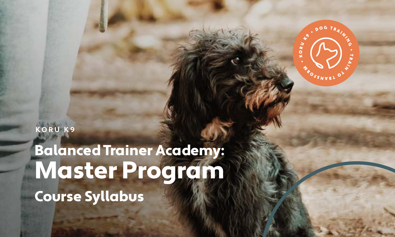**KORU K9**

Balanced Trainer Academy: Master Program Course Syllabus

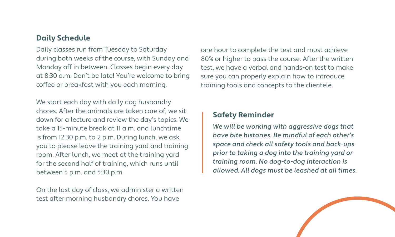#### **Daily Schedule**

Daily classes run from Tuesday to Saturday during both weeks of the course, with Sunday and Monday off in between. Classes begin every day at 8:30 a.m. Don't be late! You're welcome to bring coffee or breakfast with you each morning.

We start each day with daily dog husbandry chores. After the animals are taken care of, we sit down for a lecture and review the day's topics. We take a 15-minute break at 11 a.m. and lunchtime is from 12:30 p.m. to 2 p.m. During lunch, we ask you to please leave the training yard and training room. After lunch, we meet at the training yard for the second half of training, which runs until between 5 p.m. and 5:30 p.m.

On the last day of class, we administer a written test after morning husbandry chores. You have

one hour to complete the test and must achieve 80% or higher to pass the course. After the written test, we have a verbal and hands-on test to make sure you can properly explain how to introduce training tools and concepts to the clientele.

#### **Safety Reminder**

We will be working with aggressive dogs that have bite histories. Be mindful of each other's space and check all safety tools and back-ups prior to taking a dog into the training yard or training room. No dog-to-dog interaction is allowed. All dogs must be leashed at all times.

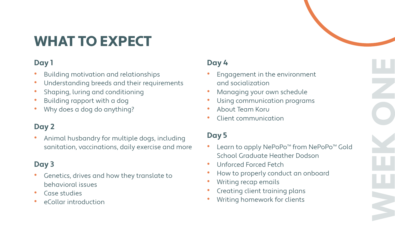# WHAT TO EXPECT

## **Day 1**

- Building motivation and relationships
- Understanding breeds and their requirements
- Shaping, luring and conditioning
- Building rapport with a dog
- Why does a dog do anything?

## **Day 2**

• Animal husbandry for multiple dogs, including sanitation, vaccinations, daily exercise and more

## **Day 3**

- Genetics, drives and how they translate to behavioral issues
- Case studies
- eCollar introduction

## **Day 4**

- Engagement in the environment and socialization
- Managing your own schedule
- Using communication programs
- About Team Koru
- Client communication

#### **Day 5**

• Learn to apply NePoPo™ from NePoPo™ Gold School Graduate Heather Dodson

WEEK ONE

- Unforced Forced Fetch
- How to properly conduct an onboard
- Writing recap emails
- Creating client training plans
- Writing homework for clients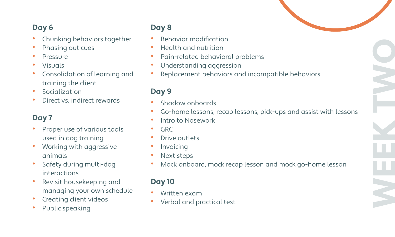### **Day 6**

- Chunking behaviors together
- Phasing out cues
- **Pressure**
- Visuals
- Consolidation of learning and training the client
- **Socialization**
- Direct vs. indirect rewards

### **Day 7**

- Proper use of various tools used in dog training
- Working with aggressive animals
- Safety during multi-dog interactions
- Revisit housekeeping and managing your own schedule
- **Creating client videos**
- Public speaking

### **Day 8**

- Behavior modification
- Health and nutrition
- Pain-related behavioral problems
- Understanding aggression
- Replacement behaviors and incompatible behaviors

#### **Day 9**

- Shadow onboards
- Go-home lessons, recap lessons, pick-ups and assist with lessons
- Intro to Nosework
- GRC
- Drive outlets
- Invoicing
- Next steps
- Mock onboard, mock recap lesson and mock go-home lesson

#### **Day 10**

- Written exam
- Verbal and practical test